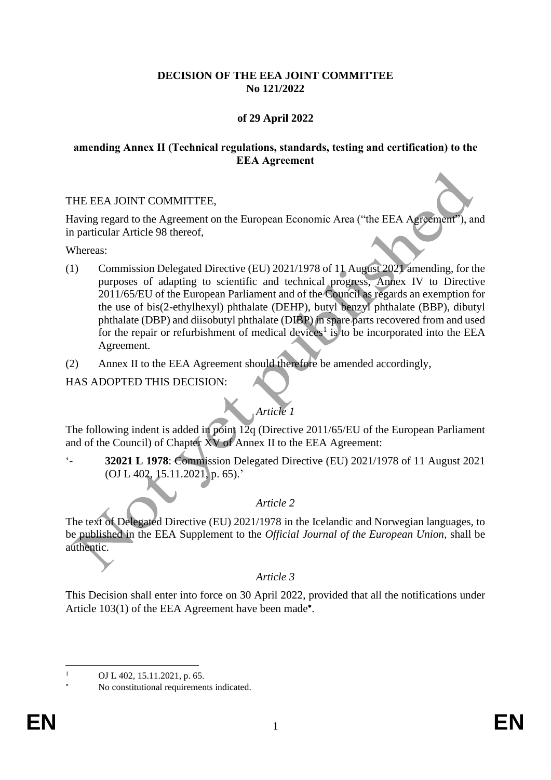#### **DECISION OF THE EEA JOINT COMMITTEE No 121/2022**

# **of 29 April 2022**

#### **amending Annex II (Technical regulations, standards, testing and certification) to the EEA Agreement**

#### THE EEA JOINT COMMITTEE,

Having regard to the Agreement on the European Economic Area ("the EEA Agreement"), and in particular Article 98 thereof,

Whereas:

- (1) Commission Delegated Directive (EU) 2021/1978 of 11 August 2021 amending, for the purposes of adapting to scientific and technical progress, Annex IV to Directive 2011/65/EU of the European Parliament and of the Council as regards an exemption for the use of bis(2-ethylhexyl) phthalate (DEHP), butyl benzyl phthalate (BBP), dibutyl phthalate (DBP) and diisobutyl phthalate (DIBP) in spare parts recovered from and used for the repair or refurbishment of medical devices<sup>1</sup> is to be incorporated into the EEA Agreement.
- (2) Annex II to the EEA Agreement should therefore be amended accordingly,

# HAS ADOPTED THIS DECISION:

# *Article 1*

The following indent is added in point  $12q$  (Directive 2011/65/EU of the European Parliament and of the Council) of Chapter XV of Annex II to the EEA Agreement:

'- **32021 L 1978**: Commission Delegated Directive (EU) 2021/1978 of 11 August 2021 (OJ L 402, 15.11.2021, p. 65).'

# *Article 2*

The text of Delegated Directive (EU) 2021/1978 in the Icelandic and Norwegian languages, to be published in the EEA Supplement to the *Official Journal of the European Union*, shall be authentic.

# *Article 3*

This Decision shall enter into force on 30 April 2022, provided that all the notifications under Article 103(1) of the EEA Agreement have been made\*.

OJ L 402, 15.11.2021, p. 65.

No constitutional requirements indicated.